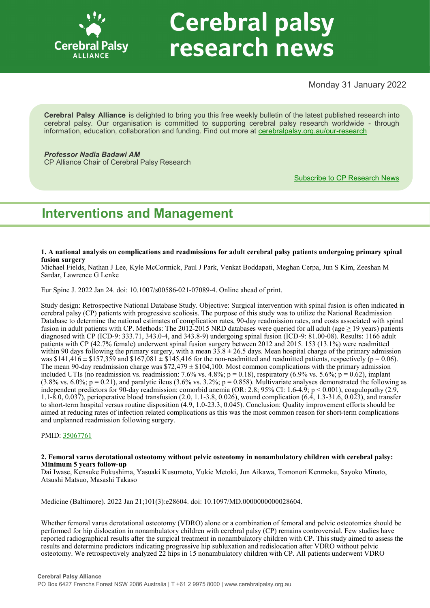

# **Cerebral palsy** research news

# Monday 31 January 2022

**Cerebral Palsy Alliance** is delighted to bring you this free weekly bulletin of the latest published research into cerebral palsy. Our organisation is committed to supporting cerebral palsy research worldwide - through information, education, collaboration and funding. Find out more at [cerebralpalsy.org.au/our](https://cerebralpalsy.org.au/our-research/)-research

# *Professor Nadia Badawi AM*

CP Alliance Chair of Cerebral Palsy Research

[Subscribe to CP Research News](https://cerebralpalsy.org.au/our-research/get-involved-research/cp-research-newsletters/)

# **Interventions and Management**

#### **1. A national analysis on complications and readmissions for adult cerebral palsy patients undergoing primary spinal fusion surgery**

Michael Fields, Nathan J Lee, Kyle McCormick, Paul J Park, Venkat Boddapati, Meghan Cerpa, Jun S Kim, Zeeshan M Sardar, Lawrence G Lenke

Eur Spine J. 2022 Jan 24. doi: 10.1007/s00586-021-07089-4. Online ahead of print.

Study design: Retrospective National Database Study. Objective: Surgical intervention with spinal fusion is often indicated in cerebral palsy (CP) patients with progressive scoliosis. The purpose of this study was to utilize the National Readmission Database to determine the national estimates of complication rates, 90-day readmission rates, and costs associated with spinal fusion in adult patients with CP. Methods: The 2012-2015 NRD databases were queried for all adult (age  $\geq$  19 years) patients diagnosed with CP (ICD-9: 333.71, 343.0-4, and 343.8-9) undergoing spinal fusion (ICD-9: 81.00-08). Results: 1166 adult patients with CP (42.7% female) underwent spinal fusion surgery between 2012 and 2015. 153 (13.1%) were readmitted within 90 days following the primary surgery, with a mean  $33.8 \pm 26.5$  days. Mean hospital charge of the primary admission was \$141,416  $\pm$  \$157,359 and \$167,081  $\pm$  \$145,416 for the non-readmitted and readmitted patients, respectively (p = 0.06). The mean 90-day readmission charge was  $$72,479 \pm $104,100$ . Most common complications with the primary admission included UTIs (no readmission vs. readmission: 7.6% vs. 4.8%;  $p = 0.18$ ), respiratory (6.9% vs. 5.6%;  $p = 0.62$ ), implant (3.8% vs. 6.0%;  $p = 0.21$ ), and paralytic ileus (3.6% vs. 3.2%;  $p = 0.858$ ). Multivariate analyses demonstrated the following as independent predictors for 90-day readmission: comorbid anemia (OR: 2.8; 95% CI: 1.6-4.9; p < 0.001), coagulopathy (2.9, 1.1-8.0, 0.037), perioperative blood transfusion (2.0, 1.1-3.8, 0.026), wound complication (6.4, 1.3-31.6, 0.023), and transfer to short-term hospital versus routine disposition (4.9, 1.0-23.3, 0.045). Conclusion: Quality improvement efforts should be aimed at reducing rates of infection related complications as this was the most common reason for short-term complications and unplanned readmission following surgery.

PMID: [35067761](http://www.ncbi.nlm.nih.gov/pubmed/35067761)

#### **2. Femoral varus derotational osteotomy without pelvic osteotomy in nonambulatory children with cerebral palsy: Minimum 5 years follow-up**

Dai Iwase, Kensuke Fukushima, Yasuaki Kusumoto, Yukie Metoki, Jun Aikawa, Tomonori Kenmoku, Sayoko Minato, Atsushi Matsuo, Masashi Takaso

Medicine (Baltimore). 2022 Jan 21;101(3):e28604. doi: 10.1097/MD.0000000000028604.

Whether femoral varus derotational osteotomy (VDRO) alone or a combination of femoral and pelvic osteotomies should be performed for hip dislocation in nonambulatory children with cerebral palsy (CP) remains controversial. Few studies have reported radiographical results after the surgical treatment in nonambulatory children with CP. This study aimed to assess the results and determine predictors indicating progressive hip subluxation and redislocation after VDRO without pelvic osteotomy. We retrospectively analyzed 22 hips in 15 nonambulatory children with CP. All patients underwent VDRO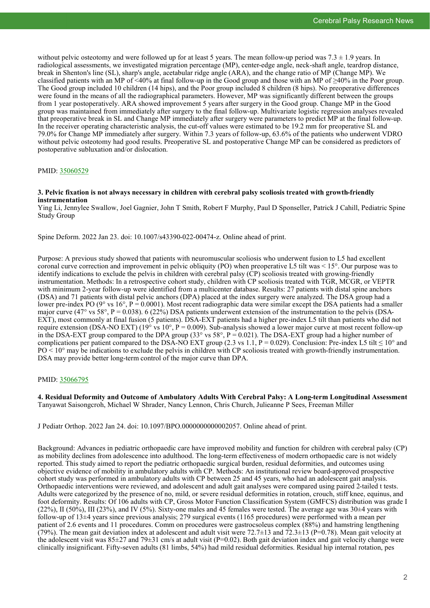without pelvic osteotomy and were followed up for at least 5 years. The mean follow-up period was  $7.3 \pm 1.9$  years. In radiological assessments, we investigated migration percentage (MP), center-edge angle, neck-shaft angle, teardrop distance, break in Shenton's line (SL), sharp's angle, acetabular ridge angle (ARA), and the change ratio of MP (Change MP). We classified patients with an MP of <40% at final follow-up in the Good group and those with an MP of ≥40% in the Poor group. The Good group included 10 children (14 hips), and the Poor group included 8 children (8 hips). No preoperative differences were found in the means of all the radiographical parameters. However, MP was significantly different between the groups from 1 year postoperatively. ARA showed improvement 5 years after surgery in the Good group. Change MP in the Good group was maintained from immediately after surgery to the final follow-up. Multivariate logistic regression analyses revealed that preoperative break in SL and Change MP immediately after surgery were parameters to predict MP at the final follow-up. In the receiver operating characteristic analysis, the cut-off values were estimated to be 19.2 mm for preoperative SL and 79.0% for Change MP immediately after surgery. Within 7.3 years of follow-up, 63.6% of the patients who underwent VDRO without pelvic osteotomy had good results. Preoperative SL and postoperative Change MP can be considered as predictors of postoperative subluxation and/or dislocation.

#### PMID: [35060529](http://www.ncbi.nlm.nih.gov/pubmed/35060529)

#### **3. Pelvic fixation is not always necessary in children with cerebral palsy scoliosis treated with growth-friendly instrumentation**

Ying Li, Jennylee Swallow, Joel Gagnier, John T Smith, Robert F Murphy, Paul D Sponseller, Patrick J Cahill, Pediatric Spine Study Group

Spine Deform. 2022 Jan 23. doi: 10.1007/s43390-022-00474-z. Online ahead of print.

Purpose: A previous study showed that patients with neuromuscular scoliosis who underwent fusion to L5 had excellent coronal curve correction and improvement in pelvic obliquity (PO) when preoperative L5 tilt was < 15°. Our purpose was to identify indications to exclude the pelvis in children with cerebral palsy (CP) scoliosis treated with growing-friendly instrumentation. Methods: In a retrospective cohort study, children with CP scoliosis treated with TGR, MCGR, or VEPTR with minimum 2-year follow-up were identified from a multicenter database. Results: 27 patients with distal spine anchors (DSA) and 71 patients with distal pelvic anchors (DPA) placed at the index surgery were analyzed. The DSA group had a lower pre-index PO ( $9^{\circ}$  vs 16°, P = 0.0001). Most recent radiographic data were similar except the DSA patients had a smaller major curve (47° vs 58°, P = 0.038). 6 (22%) DSA patients underwent extension of the instrumentation to the pelvis (DSA-EXT), most commonly at final fusion (5 patients). DSA-EXT patients had a higher pre-index L5 tilt than patients who did not require extension (DSA-NO EXT) (19<sup>o</sup> vs 10<sup>o</sup>, P = 0.009). Sub-analysis showed a lower major curve at most recent follow-up in the DSA-EXT group compared to the DPA group  $(33^{\circ}$  vs  $58^{\circ}$ , P = 0.021). The DSA-EXT group had a higher number of complications per patient compared to the DSA-NO EXT group (2.3 vs 1.1, P = 0.029). Conclusion: Pre-index L5 tilt  $\leq 10^{\circ}$  and  $PO < 10^{\circ}$  may be indications to exclude the pelvis in children with CP scoliosis treated with growth-friendly instrumentation. DSA may provide better long-term control of the major curve than DPA.

#### PMID: [35066795](http://www.ncbi.nlm.nih.gov/pubmed/35066795)

**4. Residual Deformity and Outcome of Ambulatory Adults With Cerebral Palsy: A Long-term Longitudinal Assessment** Tanyawat Saisongcroh, Michael W Shrader, Nancy Lennon, Chris Church, Julieanne P Sees, Freeman Miller

J Pediatr Orthop. 2022 Jan 24. doi: 10.1097/BPO.0000000000002057. Online ahead of print.

Background: Advances in pediatric orthopaedic care have improved mobility and function for children with cerebral palsy (CP) as mobility declines from adolescence into adulthood. The long-term effectiveness of modern orthopaedic care is not widely reported. This study aimed to report the pediatric orthopaedic surgical burden, residual deformities, and outcomes using objective evidence of mobility in ambulatory adults with CP. Methods: An institutional review board-approved prospective cohort study was performed in ambulatory adults with CP between 25 and 45 years, who had an adolescent gait analysis. Orthopaedic interventions were reviewed, and adolescent and adult gait analyses were compared using paired 2-tailed t tests. Adults were categorized by the presence of no, mild, or severe residual deformities in rotation, crouch, stiff knee, equinus, and foot deformity. Results: Of 106 adults with CP, Gross Motor Function Classification System (GMFCS) distribution was grade I  $(22\%)$ , II (50%), III (23%), and IV (5%). Sixty-one males and 45 females were tested. The average age was 30 $\pm$ 4 years with follow-up of 13±4 years since previous analysis; 279 surgical events (1165 procedures) were performed with a mean per patient of 2.6 events and 11 procedures. Comm on procedures were gastrocsoleus complex (88%) and hamstring lengthening (79%). The mean gait deviation index at adolescent and adult visit were  $72.7\pm13$  and  $72.3\pm13$  (P=0.78). Mean gait velocity at the adolescent visit was  $85\pm27$  and  $79\pm31$  cm/s at adult visit (P=0.02). Both gait deviation index and gait velocity change were clinically insignificant. Fifty-seven adults (81 limbs, 54%) had mild residual deformities. Residual hip internal rotation, pes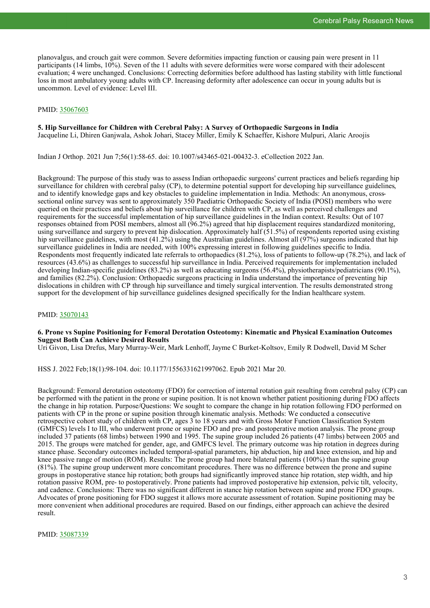planovalgus, and crouch gait were common. Severe deformities impacting function or causing pain were present in 11 participants (14 limbs, 10%). Seven of the 11 adults with severe deformities were worse compared with their adolescent evaluation; 4 were unchanged. Conclusions: Correcting deformities before adulthood has lasting stability with little functional loss in most ambulatory young adults with CP. Increasing deformity after adolescence can occur in young adults but is uncommon. Level of evidence: Level III.

#### PMID: [35067603](http://www.ncbi.nlm.nih.gov/pubmed/35067603)

#### **5. Hip Surveillance for Children with Cerebral Palsy: A Survey of Orthopaedic Surgeons in India** Jacqueline Li, Dhiren Ganjwala, Ashok Johari, Stacey Miller, Emily K Schaeffer, Kishore Mulpuri, Alaric Aroojis

Indian J Orthop. 2021 Jun 7;56(1):58-65. doi: 10.1007/s43465-021-00432-3. eCollection 2022 Jan.

Background: The purpose of this study was to assess Indian orthopaedic surgeons' current practices and beliefs regarding hip surveillance for children with cerebral palsy (CP), to determine potential support for developing hip surveillance guidelines, and to identify knowledge gaps and key obstacles to guideline implementation in India. Methods: An anonymous, crosssectional online survey was sent to approximately 350 Paediatric Orthopaedic Society of India (POSI) members who were queried on their practices and beliefs about hip surveillance for children with CP, as well as perceived challenges and requirements for the successful implementation of hip surveillance guidelines in the Indian context. Results: Out of 107 responses obtained from POSI members, almost all (96.2%) agreed that hip displacement requires standardized monitoring, using surveillance and surgery to prevent hip dislocation. Approximately half (51.5%) of respondents reported using existing hip surveillance guidelines, with most (41.2%) using the Australian guidelines. Almost all (97%) surgeons indicated that hip surveillance guidelines in India are needed, with 100% expressing interest in following guidelines specific to India. Respondents most frequently indicated late referrals to orthopaedics (81.2%), loss of patients to follow-up (78.2%), and lack of resources (43.6%) as challenges to successful hip surveillance in India. Perceived requirements for implementation included developing Indian-specific guidelines (83.2%) as well as educating surgeons (56.4%), physiotherapists/pediatricians (90.1%), and families (82.2%). Conclusion: Orthopaedic surgeons practicing in India understand the importance of preventing hip dislocations in children with CP through hip surveillance and timely surgical intervention. The results demonstrated strong support for the development of hip surveillance guidelines designed specifically for the Indian healthcare system.

#### PMID: [35070143](http://www.ncbi.nlm.nih.gov/pubmed/35070143)

#### **6. Prone vs Supine Positioning for Femoral Derotation Osteotomy: Kinematic and Physical Examination Outcomes Suggest Both Can Achieve Desired Results**

Uri Givon, Lisa Drefus, Mary Murray-Weir, Mark Lenhoff, Jayme C Burket-Koltsov, Emily R Dodwell, David M Scher

HSS J. 2022 Feb;18(1):98-104. doi: 10.1177/1556331621997062. Epub 2021 Mar 20.

Background: Femoral derotation osteotomy (FDO) for correction of internal rotation gait resulting from cerebral palsy (CP) can be performed with the patient in the prone or supine position. It is not known whether patient positioning during FDO affects the change in hip rotation. Purpose/Questions: We sought to compare the change in hip rotation following FDO performed on patients with CP in the prone or supine position through kinematic analysis. Methods: We conducted a consecutive retrospective cohort study of children with CP, ages 3 to 18 years and with Gross Motor Function Classification System (GMFCS) levels I to III, who underwent prone or supine FDO and pre- and postoperative motion analysis. The prone group included 37 patients (68 limbs) between 1990 and 1995. The supine group included 26 patients (47 limbs) between 2005 and 2015. The groups were matched for gender, age, and GMFCS level. The primary outcome was hip rotation in degrees during stance phase. Secondary outcomes included temporal-spatial parameters, hip abduction, hip and knee extension, and hip and knee passive range of motion (ROM). Results: The prone group had more bilateral patients (100%) than the supine group (81%). The supine group underwent more concomitant procedures. There was no difference between the prone and supine groups in postoperative stance hip rotation; both groups had significantly improved stance hip rotation, step width, and hip rotation passive ROM, pre- to postoperatively. Prone patients had improved postoperative hip extension, pelvic tilt, velocity, and cadence. Conclusions: There was no significant different in stance hip rotation between supine and prone FDO groups. Advocates of prone positioning for FDO suggest it allows more accurate assessment of rotation. Supine positioning may be more convenient when additional procedures are required. Based on our findings, either approach can achieve the desired result.

PMID: [35087339](http://www.ncbi.nlm.nih.gov/pubmed/35087339)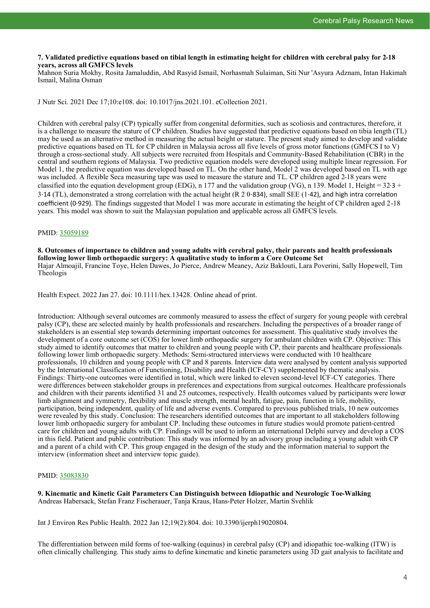#### **7. Validated predictive equations based on tibial length in estimating height for children with cerebral palsy for 2-18 years, across all GMFCS levels**

Mahnon Suria Mokhy, Rosita Jamaluddin, Abd Rasyid Ismail, Norhasmah Sulaiman, Siti Nur 'Asyura Adznam, Intan Hakimah Ismail, Malina Osman

J Nutr Sci. 2021 Dec 17;10:e108. doi: 10.1017/jns.2021.101. eCollection 2021.

Children with cerebral palsy (CP) typically suffer from congenital deformities, such as scoliosis and contractures, therefore, it is a challenge to measure the stature of CP children. Studies have suggested that predictive equations based on tibia length (TL) may be used as an alternative method in measuring the actual height or stature. The present study aimed to develop and validate predictive equations based on TL for CP children in Malaysia across all five levels of gross motor functions (GMFCS I to V) through a cross-sectional study. All subjects were recruited from Hospitals and Community-Based Rehabilitation (CBR) in the central and southern regions of Malaysia. Two predictive equation models were developed using multiple linear regression. For Model 1, the predictive equation was developed based on TL. On the other hand, Model 2 was developed based on TL with age was included. A flexible Seca measuring tape was used to measure the stature and TL. CP children aged 2-18 years were classified into the equation development group (EDG), n 177 and the validation group (VG), n 139. Model 1, Height =  $32.3 +$ 3⋅14 (TL), demonstrated a strong correlation with the actual height (R 2 0⋅834), small SEE (1⋅42), and high intra correlation coefficient (0⋅929). The findings suggested that Model 1 was more accurate in estimating the height of CP children aged 2-18 years. This model was shown to suit the Malaysian population and applicable across all GMFCS levels.

#### PMID: [35059189](http://www.ncbi.nlm.nih.gov/pubmed/35059189)

**8. Outcomes of importance to children and young adults with cerebral palsy, their parents and health professionals following lower limb orthopaedic surgery: A qualitative study to inform a Core Outcome Set** Hajar Almoajil, Francine Toye, Helen Dawes, Jo Pierce, Andrew Meaney, Aziz Baklouti, Lara Poverini, Sally Hopewell, Tim Theologis

Health Expect. 2022 Jan 27. doi: 10.1111/hex.13428. Online ahead of print.

Introduction: Although several outcomes are commonly measured to assess the effect of surgery for young people with cerebral palsy (CP), these are selected mainly by health professionals and researchers. Including the perspectives of a broader range of stakeholders is an essential step towards determining important outcomes for assessment. This qualitative study involves the development of a core outcome set (COS) for lower limb orthopaedic surgery for ambulant children with CP. Objective: This study aimed to identify outcomes that matter to children and young people with CP, their parents and healthcare professionals following lower limb orthopaedic surgery. Methods: Semi-structured interviews were conducted with 10 healthcare professionals, 10 children and young people with CP and 8 parents. Interview data were analysed by content analysis supported by the International Classification of Functioning, Disability and Health (ICF-CY) supplemented by thematic analysis. Findings: Thirty-one outcomes were identified in total, which were linked to eleven second-level ICF-CY categories. There were differences between stakeholder groups in preferences and expectations from surgical outcomes. Healthcare professionals and children with their parents identified 31 and 25 outcomes, respectively. Health outcomes valued by participants were lower limb alignment and symmetry, flexibility and muscle strength, mental health, fatigue, pain, function in life, mobility, participation, being independent, quality of life and adverse events. Compared to previous published trials, 10 new outcomes were revealed by this study. Conclusion: The researchers identified outcomes that are important to all stakeholders following lower limb orthopaedic surgery for ambulant CP. Including these outcomes in future studies would promote patient-centred care for children and young adults with CP. Findings will be used to inform an international Delphi survey and develop a COS in this field. Patient and public contribution: This study was informed by an advisory group including a young adult with CP and a parent of a child with CP. This group engaged in the design of the study and the information material to support the interview (information sheet and interview topic guide).

#### PMID: [35083830](http://www.ncbi.nlm.nih.gov/pubmed/35083830)

**9. Kinematic and Kinetic Gait Parameters Can Distinguish between Idiopathic and Neurologic Toe-Walking** Andreas Habersack, Stefan Franz Fischerauer, Tanja Kraus, Hans-Peter Holzer, Martin Svehlik

Int J Environ Res Public Health. 2022 Jan 12;19(2):804. doi: 10.3390/ijerph19020804.

The differentiation between mild forms of toe-walking (equinus) in cerebral palsy (CP) and idiopathic toe-walking (ITW) is often clinically challenging. This study aims to define kinematic and kinetic parameters using 3D gait analysis to facilitate and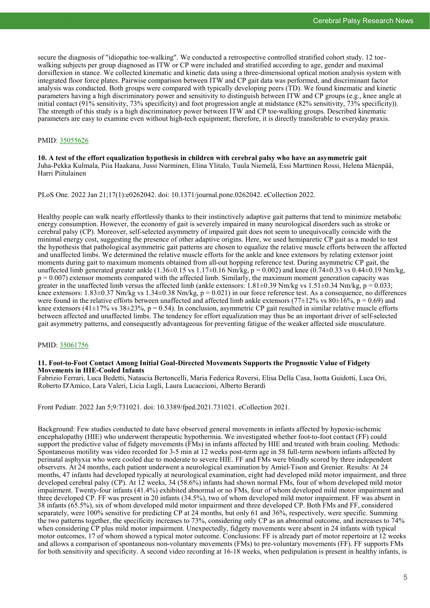secure the diagnosis of "idiopathic toe-walking". We conducted a retrospective controlled stratified cohort study. 12 toewalking subjects per group diagnosed as ITW or CP were included and stratified according to age, gender and maximal dorsiflexion in stance. We collected kinematic and kinetic data using a three-dimensional optical motion analysis system with integrated floor force plates. Pairwise comparison between ITW and CP gait data was performed, and discriminant factor analysis was conducted. Both groups were compared with typically developing peers (TD). We found kinematic and kinetic parameters having a high discriminatory power and sensitivity to distinguish between ITW and CP groups (e.g., knee angle at initial contact (91% sensitivity, 73% specificity) and foot progression angle at midstance (82% sensitivity, 73% specificity)). The strength of this study is a high discriminatory power between ITW and CP toe-walking groups. Described kinematic parameters are easy to examine even without high-tech equipment; therefore, it is directly transferable to everyday praxis.

#### PMID: [35055626](http://www.ncbi.nlm.nih.gov/pubmed/35055626)

**10. A test of the effort equalization hypothesis in children with cerebral palsy who have an asymmetric gait** Juha-Pekka Kulmala, Piia Haakana, Jussi Nurminen, Elina Ylitalo, Tuula Niemelä, Essi Marttinen Rossi, Helena Mäenpää, Harri Piitulainen

PLoS One. 2022 Jan 21;17(1):e0262042. doi: 10.1371/journal.pone.0262042. eCollection 2022.

Healthy people can walk nearly effortlessly thanks to their instinctively adaptive gait patterns that tend to minimize metabolic energy consumption. However, the economy of gait is severely impaired in many neurological disorders such as stroke or cerebral palsy (CP). Moreover, self-selected asymmetry of impaired gait does not seem to unequivocally coincide with the minimal energy cost, suggesting the presence of other adaptive origins. Here, we used hemiparetic CP gait as a model to test the hypothesis that pathological asymmetric gait patterns are chosen to equalize the relative muscle efforts between the affected and unaffected limbs. We determined the relative muscle efforts for the ankle and knee extensors by relating extensor joint moments during gait to maximum moments obtained from all-out hopping reference test. During asymmetric CP gait, the unaffected limb generated greater ankle  $(1.36\pm0.15 \text{ vs } 1.17\pm0.16 \text{ Nm/kg}, p = 0.002)$  and knee  $(0.74\pm0.33 \text{ vs } 0.44\pm0.19 \text{ Nm/kg}, p = 0.002)$  $p = 0.007$ ) extensor moments compared with the affected limb. Similarly, the maximum moment generation capacity was greater in the unaffected limb versus the affected limb (ankle extensors:  $1.81\pm0.39$  Nm/kg vs  $1.51\pm0.34$  Nm/kg, p = 0.033; knee extensors:  $1.83\pm0.37$  Nm/kg vs  $1.34\pm0.38$  Nm/kg, p = 0.021) in our force reference test. As a consequence, no differences were found in the relative efforts between unaffected and affected limb ankle extensors (77 $\pm$ 12% vs 80 $\pm$ 16%, p = 0.69) and knee extensors (41±17% vs 38±23%,  $p = 0.54$ ). In conclusion, asymmetric CP gait resulted in similar relative muscle efforts between affected and unaffected limbs. The tendency for effort equalization may thus be an important driver of self-selected gait asymmetry patterns, and consequently advantageous for preventing fatigue of the weaker affected side musculature.

#### PMID: [35061756](http://www.ncbi.nlm.nih.gov/pubmed/35061756)

#### **11. Foot-to-Foot Contact Among Initial Goal-Directed Movements Supports the Prognostic Value of Fidgety Movements in HIE-Cooled Infants**

Fabrizio Ferrari, Luca Bedetti, Natascia Bertoncelli, Maria Federica Roversi, Elisa Della Casa, Isotta Guidotti, Luca Ori, Roberto D'Amico, Lara Valeri, Licia Lugli, Laura Lucaccioni, Alberto Berardi

Front Pediatr. 2022 Jan 5;9:731021. doi: 10.3389/fped.2021.731021. eCollection 2021.

Background: Few studies conducted to date have observed general movements in infants affected by hypoxic-ischemic encephalopathy (HIE) who underwent therapeutic hypothermia. We investigated whether foot-to-foot contact (FF) could support the predictive value of fidgety movements (FMs) in infants affected by HIE and treated with brain cooling. Methods: Spontaneous motility was video recorded for 3-5 min at 12 weeks post-term age in 58 full-term newborn infants affected by perinatal asphyxia who were cooled due to moderate to severe HIE. FF and FMs were blindly scored by three independent observers. At 24 months, each patient underwent a neurological examination by Amiel-Tison and Grenier. Results: At 24 months, 47 infants had developed typically at neurological examination, eight had developed mild motor impairment, and three developed cerebral palsy (CP). At 12 weeks, 34 (58.6%) infants had shown normal FMs, four of whom developed mild motor impairment. Twenty-four infants (41.4%) exhibited abnormal or no FMs, four of whom developed mild motor impairment and three developed CP. FF was present in 20 infants (34.5%), two of whom developed mild motor impairment. FF was absent in 38 infants (65.5%), six of whom developed mild motor impairment and three developed CP. Both FMs and FF, considered separately, were 100% sensitive for predicting CP at 24 months, but only 61 and 36%, respectively, were specific. Summing the two patterns together, the specificity increases to 73%, considering only CP as an abnormal outcome, and increases to 74% when considering CP plus mild motor impairment. Unexpectedly, fidgety movements were absent in 24 infants with typical motor outcomes, 17 of whom showed a typical motor outcome. Conclusions: FF is already part of motor repertoire at 12 weeks and allows a comparison of spontaneous non-voluntary movements (FMs) to pre-voluntary movements (FF). FF supports FMs for both sensitivity and specificity. A second video recording at 16-18 weeks, when pedipulation is present in healthy infants, is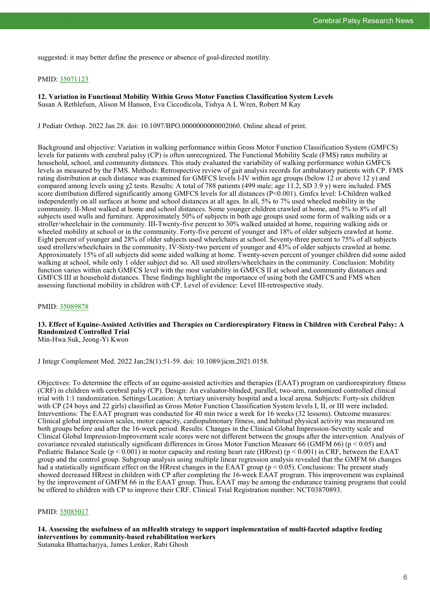suggested: it may better define the presence or absence of goal-directed motility.

#### PMID: [35071123](http://www.ncbi.nlm.nih.gov/pubmed/35071123)

**12. Variation in Functional Mobility Within Gross Motor Function Classification System Levels** Susan A Rethlefsen, Alison M Hanson, Eva Ciccodicola, Tishya A L Wren, Robert M Kay

J Pediatr Orthop. 2022 Jan 28. doi: 10.1097/BPO.0000000000002060. Online ahead of print.

Background and objective: Variation in walking performance within Gross Motor Function Classification System (GMFCS) levels for patients with cerebral palsy (CP) is often unrecognized. The Functional Mobility Scale (FMS) rates mobility at household, school, and community distances. This study evaluated the variability of walking performance within GMFCS levels as measured by the FMS. Methods: Retrospective review of gait analysis records for ambulatory patients with CP. FMS rating distribution at each distance was examined for GMFCS levels I-IV within age groups (below 12 or above 12 y) and compared among levels using χ2 tests. Results: A total of 788 patients (499 male; age 11.2, SD 3.9 y) were included. FMS score distribution differed significantly among GMFCS levels for all distances (P<0.001). Gmfcs level: I-Children walked independently on all surfaces at home and school distances at all ages. In all, 5% to 7% used wheeled mobility in the community. II-Most walked at home and school distances. Some younger children crawled at home, and 5% to 8% of all subjects used walls and furniture. Approximately 50% of subjects in both age groups used some form of walking aids or a stroller/wheelchair in the community. III-Twenty-five percent to 30% walked unaided at home, requiring walking aids or wheeled mobility at school or in the community. Forty-five percent of younger and 18% of older subjects crawled at home. Eight percent of younger and 28% of older subjects used wheelchairs at school. Seventy-three percent to 75% of all subjects used strollers/wheelchairs in the community. IV-Sixty-two percent of younger and 43% of older subjects crawled at home. Approximately 15% of all subjects did some aided walking at home. Twenty-seven percent of younger children did some aided walking at school, while only 1 older subject did so. All used strollers/wheelchairs in the community. Conclusion: Mobility function varies within each GMFCS level with the most variability in GMFCS II at school and community distances and GMFCS III at household distances. These findings highlight the importance of using both the GMFCS and FMS when assessing functional mobility in children with CP. Level of evidence: Level III-retrospective study.

#### PMID: [35089878](http://www.ncbi.nlm.nih.gov/pubmed/35089878)

## **13. Effect of Equine-Assisted Activities and Therapies on Cardiorespiratory Fitness in Children with Cerebral Palsy: A Randomized Controlled Trial**

Min-Hwa Suk, Jeong-Yi Kwon

J Integr Complement Med. 2022 Jan;28(1):51-59. doi: 10.1089/jicm.2021.0158.

Objectives: To determine the effects of an equine-assisted activities and therapies (EAAT) program on cardiorespiratory fitness (CRF) in children with cerebral palsy (CP). Design: An evaluator-blinded, parallel, two-arm, randomized controlled clinical trial with 1:1 randomization. Settings/Location: A tertiary university hospital and a local arena. Subjects: Forty-six children with CP (24 boys and 22 girls) classified as Gross Motor Function Classification System levels I, II, or III were included. Interventions: The EAAT program was conducted for 40 min twice a week for 16 weeks (32 lessons). Outcome measures: Clinical global impression scales, motor capacity, cardiopulmonary fitness, and habitual physical activity was measured on both groups before and after the 16-week period. Results: Changes in the Clinical Global Impression-Severity scale and Clinical Global Impression-Improvement scale scores were not different between the groups after the intervention. Analysis of covariance revealed statistically significant differences in Gross Motor Function Measure 66 (GMFM 66) ( $p < 0.05$ ) and Pediatric Balance Scale ( $p < 0.001$ ) in motor capacity and resting heart rate (HRrest) ( $p < 0.001$ ) in CRF, between the EAAT group and the control group. Subgroup analysis using multiple linear regression analysis revealed that the GMFM 66 changes had a statistically significant effect on the HRrest changes in the EAAT group ( $p < 0.05$ ). Conclusions: The present study showed decreased HRrest in children with CP after completing the 16-week EAAT program. This improvement was explained by the improvement of GMFM 66 in the EAAT group. Thus, EAAT may be among the endurance training programs that could be offered to children with CP to improve their CRF. Clinical Trial Registration number: NCT03870893.

#### PMID: [35085017](http://www.ncbi.nlm.nih.gov/pubmed/35085017)

**14. Assessing the usefulness of an mHealth strategy to support implementation of multi-faceted adaptive feeding interventions by community-based rehabilitation workers** Sutanuka Bhattacharjya, James Lenker, Rabi Ghosh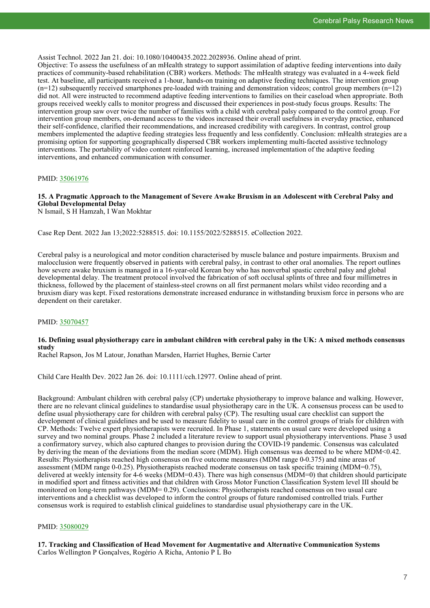Assist Technol. 2022 Jan 21. doi: 10.1080/10400435.2022.2028936. Online ahead of print.

Objective: To assess the usefulness of an mHealth strategy to support assimilation of adaptive feeding interventions into daily practices of community-based rehabilitation (CBR) workers. Methods: The mHealth strategy was evaluated in a 4-week field test. At baseline, all participants received a 1-hour, hands-on training on adaptive feeding techniques. The intervention group  $(n=12)$  subsequently received smartphones pre-loaded with training and demonstration videos; control group members  $(n=12)$ did not. All were instructed to recommend adaptive feeding interventions to families on their caseload when appropriate. Both groups received weekly calls to monitor progress and discussed their experiences in post-study focus groups. Results: The intervention group saw over twice the number of families with a child with cerebral palsy compared to the control group. For intervention group members, on-demand access to the videos increased their overall usefulness in everyday practice, enhanced their self-confidence, clarified their recommendations, and increased credibility with caregivers. In contrast, control group members implemented the adaptive feeding strategies less frequently and less confidently. Conclusion: mHealth strategies are a promising option for supporting geographically dispersed CBR workers implementing multi-faceted assistive technology interventions. The portability of video content reinforced learning, increased implementation of the adaptive feeding interventions, and enhanced communication with consumer.

#### PMID: [35061976](http://www.ncbi.nlm.nih.gov/pubmed/35061976)

# **15. A Pragmatic Approach to the Management of Severe Awake Bruxism in an Adolescent with Cerebral Palsy and Global Developmental Delay**

N Ismail, S H Hamzah, I Wan Mokhtar

Case Rep Dent. 2022 Jan 13;2022:5288515. doi: 10.1155/2022/5288515. eCollection 2022.

Cerebral palsy is a neurological and motor condition characterised by muscle balance and posture impairments. Bruxism and malocclusion were frequently observed in patients with cerebral palsy, in contrast to other oral anomalies. The report outlines how severe awake bruxism is managed in a 16-year-old Korean boy who has nonverbal spastic cerebral palsy and global developmental delay. The treatment protocol involved the fabrication of soft occlusal splints of three and four millimetres in thickness, followed by the placement of stainless-steel crowns on all first permanent molars whilst video recording and a bruxism diary was kept. Fixed restorations demonstrate increased endurance in withstanding bruxism force in persons who are dependent on their caretaker.

#### PMID: [35070457](http://www.ncbi.nlm.nih.gov/pubmed/35070457)

#### **16. Defining usual physiotherapy care in ambulant children with cerebral palsy in the UK: A mixed methods consensus study**

Rachel Rapson, Jos M Latour, Jonathan Marsden, Harriet Hughes, Bernie Carter

Child Care Health Dev. 2022 Jan 26. doi: 10.1111/cch.12977. Online ahead of print.

Background: Ambulant children with cerebral palsy (CP) undertake physiotherapy to improve balance and walking. However, there are no relevant clinical guidelines to standardise usual physiotherapy care in the UK. A consensus process can be used to define usual physiotherapy care for children with cerebral palsy (CP). The resulting usual care checklist can support the development of clinical guidelines and be used to measure fidelity to usual care in the control groups of trials for children with CP. Methods: Twelve expert physiotherapists were recruited. In Phase 1, statements on usual care were developed using a survey and two nominal groups. Phase 2 included a literature review to support usual physiotherapy interventions. Phase 3 used a confirmatory survey, which also captured changes to provision during the COVID-19 pandemic. Consensus was calculated by deriving the mean of the deviations from the median score (MDM). High consensus was deemed to be where MDM<0.42. Results: Physiotherapists reached high consensus on five outcome measures (MDM range 0-0.375) and nine areas of assessment (MDM range 0-0.25). Physiotherapists reached moderate consensus on task specific training (MDM=0.75), delivered at weekly intensity for 4-6 weeks (MDM=0.43). There was high consensus (MDM=0) that children should participate in modified sport and fitness activities and that children with Gross Motor Function Classification System level III should be monitored on long-term pathways (MDM= 0.29). Conclusions: Physiotherapists reached consensus on two usual care interventions and a checklist was developed to inform the control groups of future randomised controlled trials. Further consensus work is required to establish clinical guidelines to standardise usual physiotherapy care in the UK.

#### PMID: [35080029](http://www.ncbi.nlm.nih.gov/pubmed/35080029)

**17. Tracking and Classification of Head Movement for Augmentative and Alternative Communication Systems** Carlos Wellington P Gonçalves, Rogério A Richa, Antonio P L Bo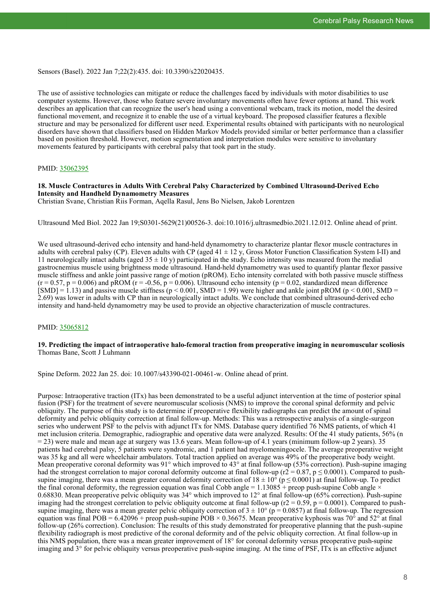Sensors (Basel). 2022 Jan 7;22(2):435. doi: 10.3390/s22020435.

The use of assistive technologies can mitigate or reduce the challenges faced by individuals with motor disabilities to use computer systems. However, those who feature severe involuntary movements often have fewer options at hand. This work describes an application that can recognize the user's head using a conventional webcam, track its motion, model the desired functional movement, and recognize it to enable the use of a virtual keyboard. The proposed classifier features a flexible structure and may be personalized for different user need. Experimental results obtained with participants with no neurological disorders have shown that classifiers based on Hidden Markov Models provided similar or better performance than a classifier based on position threshold. However, motion segmentation and interpretation modules were sensitive to involuntary movements featured by participants with cerebral palsy that took part in the study.

#### PMID: [35062395](http://www.ncbi.nlm.nih.gov/pubmed/35062395)

#### **18. Muscle Contractures in Adults With Cerebral Palsy Characterized by Combined Ultrasound-Derived Echo Intensity and Handheld Dynamometry Measures**

Christian Svane, Christian Riis Forman, Aqella Rasul, Jens Bo Nielsen, Jakob Lorentzen

Ultrasound Med Biol. 2022 Jan 19;S0301-5629(21)00526-3. doi:10.1016/j.ultrasmedbio.2021.12.012. Online ahead of print.

We used ultrasound-derived echo intensity and hand-held dynamometry to characterize plantar flexor muscle contractures in adults with cerebral palsy (CP). Eleven adults with CP (aged  $41 \pm 12$  y, Gross Motor Function Classification System I-II) and 11 neurologically intact adults (aged  $35 \pm 10$  y) participated in the study. Echo intensity was measured from the medial gastrocnemius muscle using brightness mode ultrasound. Hand-held dynamometry was used to quantify plantar flexor passive muscle stiffness and ankle joint passive range of motion (pROM). Echo intensity correlated with both passive muscle stiffness  $(r = 0.57, p = 0.006)$  and  $p\text{ROM} (r = -0.56, p = 0.006)$ . Ultrasound echo intensity ( $p = 0.02$ , standardized mean difference  $[SMD] = 1.13$ ) and passive muscle stiffness ( $p < 0.001$ ,  $SMD = 1.99$ ) were higher and ankle joint pROM ( $p < 0.001$ ,  $SMD = 1.99$ ) 2.69) was lower in adults with CP than in neurologically intact adults. We conclude that combined ultrasound-derived echo intensity and hand-held dynamometry may be used to provide an objective characterization of muscle contractures.

#### PMID: [35065812](http://www.ncbi.nlm.nih.gov/pubmed/35065812)

#### **19. Predicting the impact of intraoperative halo-femoral traction from preoperative imaging in neuromuscular scoliosis** Thomas Bane, Scott J Luhmann

Spine Deform. 2022 Jan 25. doi: 10.1007/s43390-021-00461-w. Online ahead of print.

Purpose: Intraoperative traction (ITx) has been demonstrated to be a useful adjunct intervention at the time of posterior spinal fusion (PSF) for the treatment of severe neuromuscular scoliosis (NMS) to improve the coronal spinal deformity and pelvic obliquity. The purpose of this study is to determine if preoperative flexibility radiographs can predict the amount of spinal deformity and pelvic obliquity correction at final follow-up. Methods: This was a retrospective analysis of a single-surgeon series who underwent PSF to the pelvis with adjunct ITx for NMS. Database query identified 76 NMS patients, of which 41 met inclusion criteria. Demographic, radiographic and operative data were analyzed. Results: Of the 41 study patients, 56% (n = 23) were male and mean age at surgery was 13.6 years. Mean follow-up of 4.1 years (minimum follow-up 2 years). 35 patients had cerebral palsy, 5 patients were syndromic, and 1 patient had myelomeningocele. The average preoperative weight was 35 kg and all were wheelchair ambulators. Total traction applied on average was 49% of the preoperative body weight. Mean preoperative coronal deformity was 91° which improved to 43° at final follow-up (53% correction). Push-supine imaging had the strongest correlation to major coronal deformity outcome at final follow-up ( $r2 = 0.87$ ,  $p \le 0.0001$ ). Compared to pushsupine imaging, there was a mean greater coronal deformity correction of  $18 \pm 10^{\circ}$  (p  $\leq 0.0001$ ) at final follow-up. To predict the final coronal deformity, the regression equation was final Cobb angle =  $1.13085 +$  preop push-supine Cobb angle  $\times$ 0.68830. Mean preoperative pelvic obliquity was 34° which improved to 12° at final follow-up (65% correction). Push-supine imaging had the strongest correlation to pelvic obliquity outcome at final follow-up ( $r = 0.59$ ,  $p = 0.0001$ ). Compared to pushsupine imaging, there was a mean greater pelvic obliquity correction of  $3 \pm 10^{\circ}$  (p = 0.0857) at final follow-up. The regression equation was final POB =  $6.42096 +$  preop push-supine POB  $\times$  0.36675. Mean preoperative kyphosis was 70° and 52° at final follow-up (26% correction). Conclusion: The results of this study demonstrated for preoperative planning that the push-supine flexibility radiograph is most predictive of the coronal deformity and of the pelvic obliquity correction. At final follow-up in this NMS population, there was a mean greater improvement of 18° for coronal deformity versus preoperative push-supine imaging and 3° for pelvic obliquity versus preoperative push-supine imaging. At the time of PSF, ITx is an effective adjunct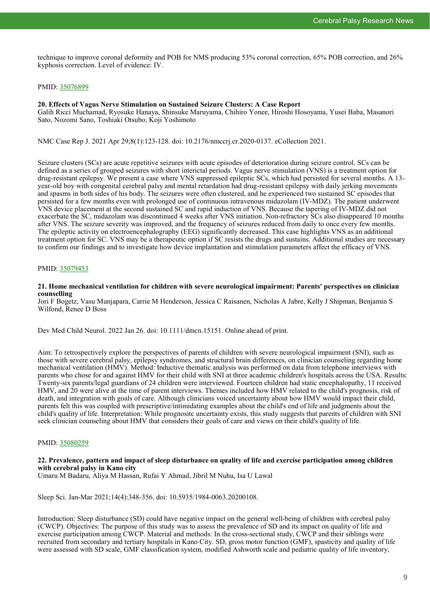technique to improve coronal deformity and POB for NMS producing 53% coronal correction, 65% POB correction, and 26% kyphosis correction. Level of evidence: IV.

#### PMID: [35076899](http://www.ncbi.nlm.nih.gov/pubmed/35076899)

#### **20. Effects of Vagus Nerve Stimulation on Sustained Seizure Clusters: A Case Report**

Galih Ricci Muchamad, Ryosuke Hanaya, Shinsuke Maruyama, Chihiro Yonee, Hiroshi Hosoyama, Yusei Baba, Masanori Sato, Nozomi Sano, Toshiaki Otsubo, Koji Yoshimoto

NMC Case Rep J. 2021 Apr 29;8(1):123-128. doi: 10.2176/nmccrj.cr.2020-0137. eCollection 2021.

Seizure clusters (SCs) are acute repetitive seizures with acute episodes of deterioration during seizure control. SCs can be defined as a series of grouped seizures with short interictal periods. Vagus nerve stimulation (VNS) is a treatment option for drug-resistant epilepsy. We present a case where VNS suppressed epileptic SCs, which had persisted for several months. A 13 year-old boy with congenital cerebral palsy and mental retardation had drug-resistant epilepsy with daily jerking movements and spasms in both sides of his body. The seizures were often clustered, and he experienced two sustained SC episodes that persisted for a few months even with prolonged use of continuous intravenous midazolam (IV-MDZ). The patient underwent VNS device placement at the second sustained SC and rapid induction of VNS. Because the tapering of IV-MDZ did not exacerbate the SC, midazolam was discontinued 4 weeks after VNS initiation. Non-refractory SCs also disappeared 10 months after VNS. The seizure severity was improved, and the frequency of seizures reduced from daily to once every few months. The epileptic activity on electroencephalography (EEG) significantly decreased. This case highlights VNS as an additional treatment option for SC. VNS may be a therapeutic option if SC resists the drugs and sustains. Additional studies are necessary to confirm our findings and to investigate how device implantation and stimulation parameters affect the efficacy of VNS.

#### PMID: [35079453](http://www.ncbi.nlm.nih.gov/pubmed/35079453)

**21. Home mechanical ventilation for children with severe neurological impairment: Parents' perspectives on clinician counselling**

Jori F Bogetz, Vasu Munjapara, Carrie M Henderson, Jessica C Raisanen, Nicholas A Jabre, Kelly J Shipman, Benjamin S Wilfond, Renee D Boss

Dev Med Child Neurol. 2022 Jan 26. doi: 10.1111/dmcn.15151. Online ahead of print.

Aim: To retrospectively explore the perspectives of parents of children with severe neurological impairment (SNI), such as those with severe cerebral palsy, epilepsy syndromes, and structural brain differences, on clinician counseling regarding home mechanical ventilation (HMV). Method: Inductive thematic analysis was performed on data from telephone interviews with parents who chose for and against HMV for their child with SNI at three academic children's hospitals across the USA. Results: Twenty-six parents/legal guardians of 24 children were interviewed. Fourteen children had static encephalopathy, 11 received HMV, and 20 were alive at the time of parent interviews. Themes included how HMV related to the child's prognosis, risk of death, and integration with goals of care. Although clinicians voiced uncertainty about how HMV would impact their child, parents felt this was coupled with prescriptive/intimidating examples about the child's end of life and judgments about the child's quality of life. Interpretation: While prognositc uncertainty exists, this study suggests that parents of children with SNI seek clinician counseling about HMV that considers their goals of care and views on their child's quality of life.

#### PMID: [35080259](http://www.ncbi.nlm.nih.gov/pubmed/35080259)

#### **22. Prevalence, pattern and impact of sleep disturbance on quality of life and exercise participation among children with cerebral palsy in Kano city**

Umaru M Badaru, Aliya M Hassan, Rufai Y Ahmad, Jibril M Nuhu, Isa U Lawal

Sleep Sci. Jan-Mar 2021;14(4):348-356. doi: 10.5935/1984-0063.20200108.

Introduction: Sleep disturbance (SD) could have negative impact on the general well-being of children with cerebral palsy (CWCP). Objectives: The purpose of this study was to assess the prevalence of SD and its impact on quality of life and exercise participation among CWCP. Material and methods: In the cross-sectional study, CWCP and their siblings were recruited from secondary and tertiary hospitals in Kano City. SD, gross motor function (GMF), spasticity and quality of life were assessed with SD scale, GMF classification system, modified Ashworth scale and pediatric quality of life inventory,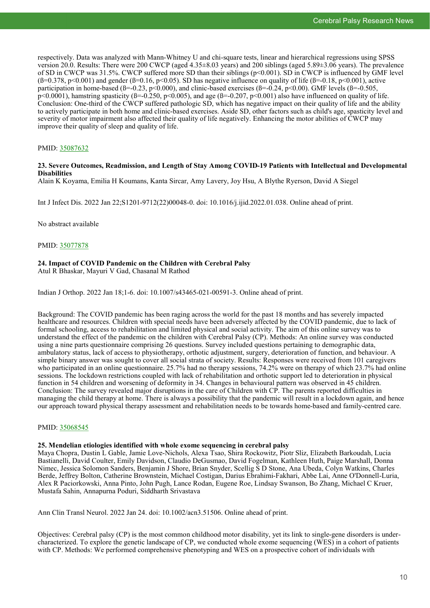respectively. Data was analyzed with Mann-Whitney U and chi-square tests, linear and hierarchical regressions using SPSS version 20.0. Results: There were 200 CWCP (aged 4.35±8.03 years) and 200 siblings (aged 5.89±3.06 years). The prevalence of SD in CWCP was 31.5%. CWCP suffered more SD than their siblings (p<0.001). SD in CWCP is influenced by GMF level  $(B=0.378, p<0.001)$  and gender  $(B=0.16, p<0.05)$ . SD has negative influence on quality of life  $(B=0.18, p<0.001)$ , active participation in home-based ( $\beta$ =-0.23, p<0.000), and clinic-based exercises ( $\beta$ =-0.24, p<0.00). GMF levels ( $\beta$ =-0.505,  $p\leq 0.0001$ ), hamstring spasticity ( $\beta = 0.250$ ,  $p\leq 0.005$ ), and age ( $\beta = -0.207$ ,  $p\leq 0.001$ ) also have influenced on quality of life. Conclusion: One-third of the CWCP suffered pathologic SD, which has negative impact on their quality of life and the ability to actively participate in both home and clinic-based exercises. Aside SD, other factors such as child's age, spasticity level and severity of motor impairment also affected their quality of life negatively. Enhancing the motor abilities of CWCP may improve their quality of sleep and quality of life.

#### PMID: [35087632](http://www.ncbi.nlm.nih.gov/pubmed/35087632)

#### **23. Severe Outcomes, Readmission, and Length of Stay Among COVID-19 Patients with Intellectual and Developmental Disabilities**

Alain K Koyama, Emilia H Koumans, Kanta Sircar, Amy Lavery, Joy Hsu, A Blythe Ryerson, David A Siegel

Int J Infect Dis. 2022 Jan 22;S1201-9712(22)00048-0. doi: 10.1016/j.ijid.2022.01.038. Online ahead of print.

No abstract available

PMID: [35077878](http://www.ncbi.nlm.nih.gov/pubmed/35077878)

#### **24. Impact of COVID Pandemic on the Children with Cerebral Palsy**

Atul R Bhaskar, Mayuri V Gad, Chasanal M Rathod

Indian J Orthop. 2022 Jan 18;1-6. doi: 10.1007/s43465-021-00591-3. Online ahead of print.

Background: The COVID pandemic has been raging across the world for the past 18 months and has severely impacted healthcare and resources. Children with special needs have been adversely affected by the COVID pandemic, due to lack of formal schooling, access to rehabilitation and limited physical and social activity. The aim of this online survey was to understand the effect of the pandemic on the children with Cerebral Palsy (CP). Methods: An online survey was conducted using a nine parts questionnaire comprising 26 questions. Survey included questions pertaining to demographic data, ambulatory status, lack of access to physiotherapy, orthotic adjustment, surgery, deterioration of function, and behaviour. A simple binary answer was sought to cover all social strata of society. Results: Responses were received from 101 caregivers who participated in an online questionnaire. 25.7% had no therapy sessions, 74.2% were on therapy of which 23.7% had online sessions. The lockdown restrictions coupled with lack of rehabilitation and orthotic support led to deterioration in physical function in 54 children and worsening of deformity in 34. Changes in behavioural pattern was observed in 45 children. Conclusion: The survey revealed major disruptions in the care of Children with CP. The parents reported difficulties in managing the child therapy at home. There is always a possibility that the pandemic will result in a lockdown again, and hence our approach toward physical therapy assessment and rehabilitation needs to be towards home-based and family-centred care.

#### PMID: [35068545](http://www.ncbi.nlm.nih.gov/pubmed/35068545)

#### **25. Mendelian etiologies identified with whole exome sequencing in cerebral palsy**

Maya Chopra, Dustin L Gable, Jamie Love-Nichols, Alexa Tsao, Shira Rockowitz, Piotr Sliz, Elizabeth Barkoudah, Lucia Bastianelli, David Coulter, Emily Davidson, Claudio DeGusmao, David Fogelman, Kathleen Huth, Paige Marshall, Donna Nimec, Jessica Solomon Sanders, Benjamin J Shore, Brian Snyder, Scellig S D Stone, Ana Ubeda, Colyn Watkins, Charles Berde, Jeffrey Bolton, Catherine Brownstein, Michael Costigan, Darius Ebrahimi-Fakhari, Abbe Lai, Anne O'Donnell-Luria, Alex R Paciorkowski, Anna Pinto, John Pugh, Lance Rodan, Eugene Roe, Lindsay Swanson, Bo Zhang, Michael C Kruer, Mustafa Sahin, Annapurna Poduri, Siddharth Srivastava

Ann Clin Transl Neurol. 2022 Jan 24. doi: 10.1002/acn3.51506. Online ahead of print.

Objectives: Cerebral palsy (CP) is the most common childhood motor disability, yet its link to single-gene disorders is undercharacterized. To explore the genetic landscape of CP, we conducted whole exome sequencing (WES) in a cohort of patients with CP. Methods: We performed comprehensive phenotyping and WES on a prospective cohort of individuals with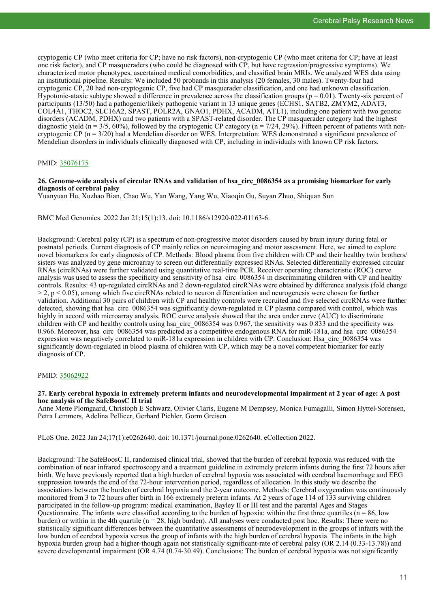cryptogenic CP (who meet criteria for CP; have no risk factors), non-cryptogenic CP (who meet criteria for CP; have at least one risk factor), and CP masqueraders (who could be diagnosed with CP, but have regression/progressive symptoms). We characterized motor phenotypes, ascertained medical comorbidities, and classified brain MRIs. We analyzed WES data using an institutional pipeline. Results: We included 50 probands in this analysis (20 females, 30 males). Twenty-four had cryptogenic CP, 20 had non-cryptogenic CP, five had CP masquerader classification, and one had unknown classification. Hypotonic-ataxic subtype showed a difference in prevalence across the classification groups ( $p = 0.01$ ). Twenty-six percent of participants (13/50) had a pathogenic/likely pathogenic variant in 13 unique genes (ECHS1, SATB2, ZMYM2, ADAT3, COL4A1, THOC2, SLC16A2, SPAST, POLR2A, GNAO1, PDHX, ACADM, ATL1), including one patient with two genetic disorders (ACADM, PDHX) and two patients with a SPAST-related disorder. The CP masquerader category had the highest diagnostic yield (n =  $3/5$ , 60%), followed by the cryptogenic CP category (n =  $7/24$ , 29%). Fifteen percent of patients with noncryptogenic CP (n = 3/20) had a Mendelian disorder on WES. Interpretation: WES demonstrated a significant prevalence of Mendelian disorders in individuals clinically diagnosed with CP, including in individuals with known CP risk factors.

#### PMID: [35076175](http://www.ncbi.nlm.nih.gov/pubmed/35076175)

#### **26. Genome-wide analysis of circular RNAs and validation of hsa\_circ\_0086354 as a promising biomarker for early diagnosis of cerebral palsy**

Yuanyuan Hu, Xuzhao Bian, Chao Wu, Yan Wang, Yang Wu, Xiaoqin Gu, Suyan Zhuo, Shiquan Sun

BMC Med Genomics. 2022 Jan 21;15(1):13. doi: 10.1186/s12920-022-01163-6.

Background: Cerebral palsy (CP) is a spectrum of non-progressive motor disorders caused by brain injury during fetal or postnatal periods. Current diagnosis of CP mainly relies on neuroimaging and motor assessment. Here, we aimed to explore novel biomarkers for early diagnosis of CP. Methods: Blood plasma from five children with CP and their healthy twin brothers/ sisters was analyzed by gene microarray to screen out differentially expressed RNAs. Selected differentially expressed circular RNAs (circRNAs) were further validated using quantitative real-time PCR. Receiver operating characteristic (ROC) curve analysis was used to assess the specificity and sensitivity of hsa\_circ\_0086354 in discriminating children with CP and healthy controls. Results: 43 up-regulated circRNAs and 2 down-regulated circRNAs were obtained by difference analysis (fold change  $> 2$ ,  $p < 0.05$ ), among which five circRNAs related to neuron differentiation and neurogenesis were chosen for further validation. Additional 30 pairs of children with CP and healthy controls were recruited and five selected circRNAs were further detected, showing that hsa\_circ\_0086354 was significantly down-regulated in CP plasma compared with control, which was highly in accord with microarray analysis. ROC curve analysis showed that the area under curve (AUC) to discriminate children with CP and healthy controls using hsa\_circ\_0086354 was 0.967, the sensitivity was 0.833 and the specificity was 0.966. Moreover, hsa\_circ\_0086354 was predicted as a competitive endogenous RNA for miR-181a, and hsa\_circ\_0086354 expression was negatively correlated to miR-181a expression in children with CP. Conclusion: Hsa\_circ\_0086354 was significantly down-regulated in blood plasma of children with CP, which may be a novel competent biomarker for early diagnosis of CP.

#### PMID: [35062922](http://www.ncbi.nlm.nih.gov/pubmed/35062922)

#### **27. Early cerebral hypoxia in extremely preterm infants and neurodevelopmental impairment at 2 year of age: A post hoc analysis of the SafeBoosC II trial**

Anne Mette Plomgaard, Christoph E Schwarz, Olivier Claris, Eugene M Dempsey, Monica Fumagalli, Simon Hyttel-Sorensen, Petra Lemmers, Adelina Pellicer, Gerhard Pichler, Gorm Greisen

PLoS One. 2022 Jan 24;17(1):e0262640. doi: 10.1371/journal.pone.0262640. eCollection 2022.

Background: The SafeBoosC II, randomised clinical trial, showed that the burden of cerebral hypoxia was reduced with the combination of near infrared spectroscopy and a treatment guideline in extremely preterm infants during the first 72 hours after birth. We have previously reported that a high burden of cerebral hypoxia was associated with cerebral haemorrhage and EEG suppression towards the end of the 72-hour intervention period, regardless of allocation. In this study we describe the associations between the burden of cerebral hypoxia and the 2-year outcome. Methods: Cerebral oxygenation was continuously monitored from 3 to 72 hours after birth in 166 extremely preterm infants. At 2 years of age 114 of 133 surviving children participated in the follow-up program: medical examination, Bayley II or III test and the parental Ages and Stages Questionnaire. The infants were classified according to the burden of hypoxia: within the first three quartiles ( $n = 86$ , low burden) or within in the 4th quartile ( $n = 28$ , high burden). All analyses were conducted post hoc. Results: There were no statistically significant differences between the quantitative assessments of neurodevelopment in the groups of infants with the low burden of cerebral hypoxia versus the group of infants with the high burden of cerebral hypoxia. The infants in the high hypoxia burden group had a higher-though again not statistically significant-rate of cerebral palsy (OR 2.14 (0.33-13.78)) and severe developmental impairment (OR 4.74 (0.74-30.49). Conclusions: The burden of cerebral hypoxia was not significantly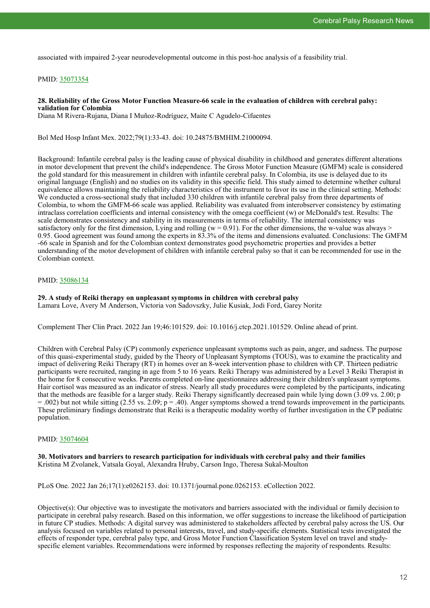associated with impaired 2-year neurodevelopmental outcome in this post-hoc analysis of a feasibility trial.

#### PMID: [35073354](http://www.ncbi.nlm.nih.gov/pubmed/35073354)

#### **28. Reliability of the Gross Motor Function Measure-66 scale in the evaluation of children with cerebral palsy: validation for Colombia**

Diana M Rivera-Rujana, Diana I Muñoz-Rodríguez, Maite C Agudelo-Cifuentes

Bol Med Hosp Infant Mex. 2022;79(1):33-43. doi: 10.24875/BMHIM.21000094.

Background: Infantile cerebral palsy is the leading cause of physical disability in childhood and generates different alterations in motor development that prevent the child's independence. The Gross Motor Function Measure (GMFM) scale is considered the gold standard for this measurement in children with infantile cerebral palsy. In Colombia, its use is delayed due to its original language (English) and no studies on its validity in this specific field. This study aimed to determine whether cultural equivalence allows maintaining the reliability characteristics of the instrument to favor its use in the clinical setting. Methods: We conducted a cross-sectional study that included 330 children with infantile cerebral palsy from three departments of Colombia, to whom the GMFM-66 scale was applied. Reliability was evaluated from interobserver consistency by estimating intraclass correlation coefficients and internal consistency with the omega coefficient (w) or McDonald's test. Results: The scale demonstrates consistency and stability in its measurements in terms of reliability. The internal consistency was satisfactory only for the first dimension, Lying and rolling ( $w = 0.91$ ). For the other dimensions, the w-value was always > 0.95. Good agreement was found among the experts in 83.3% of the items and dimensions evaluated. Conclusions: The GMFM -66 scale in Spanish and for the Colombian context demonstrates good psychometric properties and provides a better understanding of the motor development of children with infantile cerebral palsy so that it can be recommended for use in the Colombian context.

#### PMID: [35086134](http://www.ncbi.nlm.nih.gov/pubmed/35086134)

### **29. A study of Reiki therapy on unpleasant symptoms in children with cerebral palsy**

Lamara Love, Avery M Anderson, Victoria von Sadovszky, Julie Kusiak, Jodi Ford, Garey Noritz

Complement Ther Clin Pract. 2022 Jan 19;46:101529. doi: 10.1016/j.ctcp.2021.101529. Online ahead of print.

Children with Cerebral Palsy (CP) commonly experience unpleasant symptoms such as pain, anger, and sadness. The purpose of this quasi-experimental study, guided by the Theory of Unpleasant Symptoms (TOUS), was to examine the practicality and impact of delivering Reiki Therapy (RT) in homes over an 8-week intervention phase to children with CP. Thirteen pediatric participants were recruited, ranging in age from 5 to 16 years. Reiki Therapy was administered by a Level 3 Reiki Therapist in the home for 8 consecutive weeks. Parents completed on-line questionnaires addressing their children's unpleasant symptoms. Hair cortisol was measured as an indicator of stress. Nearly all study procedures were completed by the participants, indicating that the methods are feasible for a larger study. Reiki Therapy significantly decreased pain while lying down (3.09 vs. 2.00; p  $=$  .002) but not while sitting (2.55 vs. 2.09; p = .40). Anger symptoms showed a trend towards improvement in the participants. These preliminary findings demonstrate that Reiki is a therapeutic modality worthy of further investigation in the CP pediatric population.

#### PMID: [35074604](http://www.ncbi.nlm.nih.gov/pubmed/35074604)

**30. Motivators and barriers to research participation for individuals with cerebral palsy and their families** Kristina M Zvolanek, Vatsala Goyal, Alexandra Hruby, Carson Ingo, Theresa Sukal-Moulton

PLoS One. 2022 Jan 26;17(1):e0262153. doi: 10.1371/journal.pone.0262153. eCollection 2022.

Objective(s): Our objective was to investigate the motivators and barriers associated with the individual or family decision to participate in cerebral palsy research. Based on this information, we offer suggestions to increase the likelihood of participation in future CP studies. Methods: A digital survey was administered to stakeholders affected by cerebral palsy across the US. Our analysis focused on variables related to personal interests, travel, and study-specific elements. Statistical tests investigated the effects of responder type, cerebral palsy type, and Gross Motor Function Classification System level on travel and studyspecific element variables. Recommendations were informed by responses reflecting the majority of respondents. Results: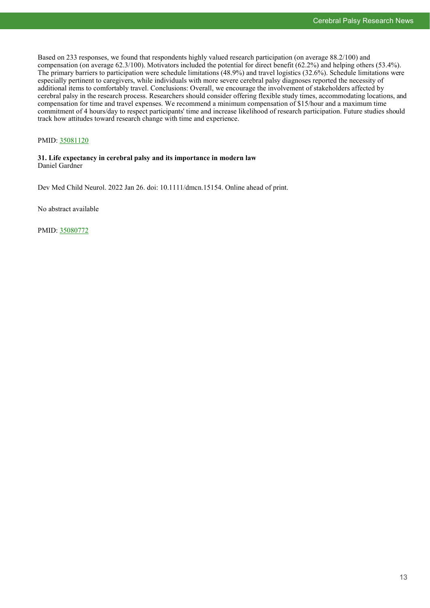Based on 233 responses, we found that respondents highly valued research participation (on average 88.2/100) and compensation (on average 62.3/100). Motivators included the potential for direct benefit (62.2%) and helping others (53.4%). The primary barriers to participation were schedule limitations (48.9%) and travel logistics (32.6%). Schedule limitations were especially pertinent to caregivers, while individuals with more severe cerebral palsy diagnoses reported the necessity of additional items to comfortably travel. Conclusions: Overall, we encourage the involvement of stakeholders affected by cerebral palsy in the research process. Researchers should consider offering flexible study times, accommodating locations, and compensation for time and travel expenses. We recommend a minimum compensation of \$15/hour and a maximum time commitment of 4 hours/day to respect participants' time and increase likelihood of research participation. Future studies should track how attitudes toward research change with time and experience.

#### PMID: [35081120](http://www.ncbi.nlm.nih.gov/pubmed/35081120)

#### **31. Life expectancy in cerebral palsy and its importance in modern law** Daniel Gardner

Dev Med Child Neurol. 2022 Jan 26. doi: 10.1111/dmcn.15154. Online ahead of print.

No abstract available

PMID: [35080772](http://www.ncbi.nlm.nih.gov/pubmed/35080772)